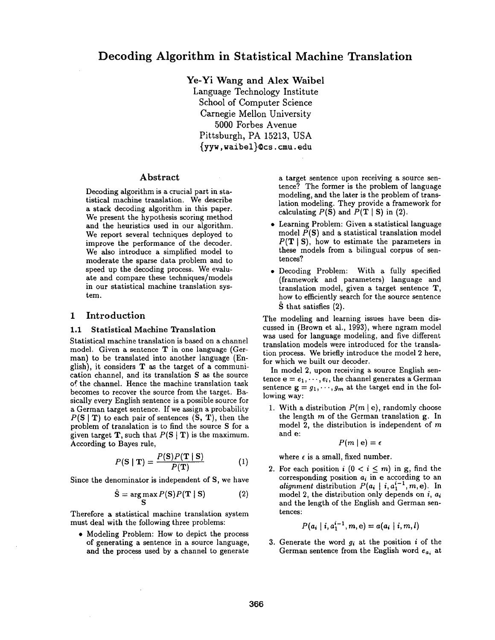Ye-Yi Wang and Alex Waibel

Language Technology Institute School of Computer Science Carnegie Mellon University 5000 Forbes Avenue Pittsburgh, PA 15213, USA {yyw, waibel}@cs, cmu. edu

## Abstract

Decoding algorithm is a crucial part in statistical machine translation. We describe a stack decoding algorithm in this paper. We present the hypothesis scoring method and the heuristics used in our algorithm. We report several techniques deployed to improve the performance of the decoder. We also introduce a simplified model to moderate the sparse data problem and to speed up the decoding process. We evaluate and compare these techniques/models in our statistical machine translation system.

### 1 Introduction

### 1.1 Statistical Machine Translation

Statistical machine translation is based on a channel model. Given a sentence T in one language (German) to be translated into another language (English), it considers  $T$  as the target of a communication channel, and its translation S as the source of the channel. Hence the machine translation task becomes to recover the source from the target. Basically every English sentence is a possible source for a German target sentence. If we assign a probability  $P(S | T)$  to each pair of sentences  $(S, T)$ , then the problem of translation is to find the source S for a given target **T**, such that  $P(S | T)$  is the maximum. According to Bayes rule,

$$
P(S | T) = \frac{P(S)P(T | S)}{P(T)}
$$
(1)

Since the denominator is independent of S, we have

$$
\hat{\mathbf{S}} = \underset{\mathbf{S}}{\arg \max} P(\mathbf{S}) P(\mathbf{T} | \mathbf{S}) \tag{2}
$$

Therefore a statistical machine translation system must deal with the following three problems:

• Modeling Problem: How to depict the process of generating a sentence in a source language, and the process used by a channel to generate

a target sentence upon receiving a source sentence? The former is the problem of language modeling, and the later is the problem of translation modeling. They provide a framework for calculating  $P(S)$  and  $P(T | S)$  in (2).

- Learning Problem: Given a statistical language model  $P(S)$  and a statistical translation model  $P(T | S)$ , how to estimate the parameters in these models from a bilingual corpus of sentences?
- Decoding Problem: With a fully specified (framework and parameters) language and translation model, given a target sentence T, how to efficiently search for the source sentence  $\tilde{S}$  that satisfies  $(2)$ .

The modeling and learning issues have been discussed in (Brown et al., 1993), where ngram model was used for language modeling, and five different translation models were introduced for the translation process. We briefly introduce the model 2 here, for which we built our decoder.

In model 2, upon receiving a source English sentence  $e = e_1, \dots, e_l$ , the channel generates a German sentence  $g = g_1, \dots, g_m$  at the target end in the following way:

1. With a distribution  $P(m \mid e)$ , randomly choose the length  $m$  of the German translation  $g$ . In model 2, the distribution is independent of m and e:

$$
P(m \mid e) = \epsilon
$$

where  $\epsilon$  is a small, fixed number.

2. For each position  $i$   $(0 < i \leq m)$  in g, find the corresponding position *ai* in e according to an *alignment* distribution  $P(a_i | i, a_1^{i-1}, m, e)$ . In model 2, the distribution only depends on *i, ai*  and the length of the English and German sentences:

$$
P(a_i | i, a_1^{i-1}, m, e) = a(a_i | i, m, l)
$$

3. Generate the word  $g_i$  at the position i of the German sentence from the English word  $e_{a_i}$  at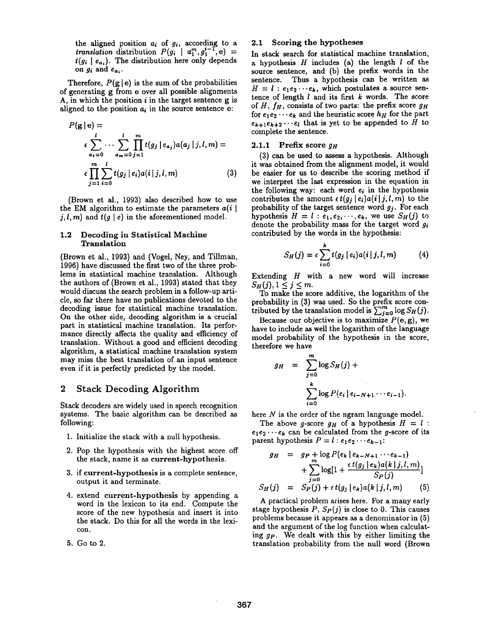the aligned position  $a_i$  of  $g_i$ , according to a *translation distribution*  $P(g_i \mid a_1^m, g_1^{i-1}, e)$  *=*  $t(g_i \mid e_{a_i})$ . The distribution here only depends on  $g_i$  and  $e_{a_i}$ .

Therefore,  $P(g \mid e)$  is the sum of the probabilities of generating g from e over all possible alignments A, in which the position  $i$  in the target sentence  $g$  is aligned to the position *ai* in the source sentence e:

$$
P(g | e) =
$$
  
\n
$$
\epsilon \sum_{a_1=0}^{l} \cdots \sum_{a_m=0}^{l} \prod_{j=1}^{m} t(g_j | e_{a_j}) a(a_j | j, l, m) =
$$
  
\n
$$
\epsilon \prod_{j=1}^{m} \sum_{i=0}^{l} t(g_j | e_i) a(i | j, l, m)
$$
 (3)

(Brown et al., 1993) also described how to use the EM algorithm to estimate the parameters  $a(i)$  $j, l, m$  and  $t(g \mid e)$  in the aforementioned model.

### 1.2 Decoding in **Statistical Machine**  Translation

(Brown et al., 1993) and (Vogel, Ney, and Tillman, 1996) have discussed the first two of the three problems in statistical machine translation. Although the authors of (Brown et al., 1993) stated that they would discuss the search problem in a follow-up arti- • cle, so far there have no publications devoted to the decoding issue for statistical machine translation. On the other side, decoding algorithm is a crucial part in statistical machine translation. Its performance directly affects the quality and efficiency of translation. Without a good and efficient decoding algorithm, a statistical machine translation system may miss the best translation of an input sentence even if it is perfectly predicted by the model.

## 2 Stack Decoding Algorithm

Stack decoders are widely used in speech recognition systems. The basic algorithm can be described as following:

- 1. Initialize the stack with a null hypothesis.
- 2. Pop the hypothesis with the highest score off the stack, name it as current-hypothesis.
- 3. if current-hypothesis is a complete sentence, output it and terminate.
- 4. extend current-hypothesis by appending a word in the lexicon to its end. Compute the score of the new hypothesis and insert it into the stack. Do this for all the words in the lexicon.
- 5. Go to 2.

### 2.1 **Scoring the** hypotheses

In stack search for statistical machine translation, a hypothesis  $H$  includes (a) the length  $l$  of the source sentence, and (b) the prefix words in the sentence. Thus a hypothesis can be written as  $H = l : e_1 e_2 \cdots e_k$ , which postulates a source sentence of length  $l$  and its first  $k$  words. The score of H, *fit,* consists of two parts: the prefix score *gH*  for  $e_1e_2\cdots e_k$  and the heuristic score  $h_H$  for the part  $e_{k+1}e_{k+2}\cdots e_l$  that is yet to be appended to  $\overline{H}$  to complete the sentence.

#### 2.1.1 Prefix score *gH*

(3) can be used to assess a hypothesis. Although it was obtained from the alignment model, it would be easier for us to describe the scoring method if we interpret the last expression in the equation in the following way: each word  $e_i$  in the hypothesis contributes the amount  $\epsilon t(g_j | e_i) a(i | j, l, m)$  to the probability of the target sentence word  $g_j$ . For each hypothesis  $H = l : e_1, e_2, \dots, e_k$ , we use  $S_H(j)$  to denote the probability mass for the target word  $g_i$ contributed by the words in the hypothesis:

$$
S_H(j) = \epsilon \sum_{i=0}^k t(g_j \mid e_i) a(i \mid j, l, m) \tag{4}
$$

Extending  $H$  with a new word will increase  $S_H(j), 1 \leq j \leq m$ .

To make the score additive, the logarithm of the probability in (3) was used. So the prefix score contributed by the translation model is  $\sum_{j=0}^{m} \log S_H(j)$ .

Because our objective is to maximize  $P(e, g)$ , we have to include as well the logarithm of the language model probability of the hypothesis in the score, therefore we have

$$
g_H = \sum_{j=0}^{m} \log S_H(j) + \sum_{i=0}^{k} \log P(e_i | e_{i-N+1} \cdots e_{i-1}).
$$

here N is the order of the ngram language model.

The above g-score  $g_H$  of a hypothesis  $H = l$ :  $e_1e_2\cdots e_k$  can be calculated from the g-score of its parent hypothesis  $P = l : e_1 e_2 \cdots e_{k-1}$ .

$$
g_H = g_P + \log P(e_k | e_{k-N+1} \cdots e_{k-1})
$$
  
+ 
$$
\sum_{j=0}^{m} \log[1 + \frac{\epsilon t(g_j | e_k) a(k | j, l, m)}{S_P(j)}]
$$
  

$$
S_H(j) = S_P(j) + \epsilon t(g_j | e_k) a(k | j, l, m)
$$
 (5)

A practical problem arises here. For a many early stage hypothesis *P, Sp(j)* is close to 0. This causes problems because it appears as a denominator in (5) and the argument of the log function when calculating *gp.* We dealt with this by either limiting the translation probability from the null word (Brown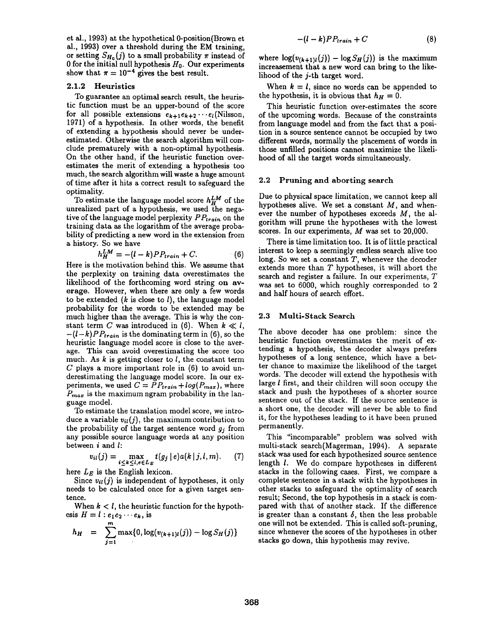et al., 1993) at the hypothetical 0-position(Brown et al., 1993) over a threshold during the EM training, or setting  $S_{H_0}(j)$  to a small probability  $\pi$  instead of 0 for the initial null hypothesis  $H_0$ . Our experiments show that  $\pi = 10^{-4}$  gives the best result.

### 2.1.2 Heuristics

To guarantee an optimal search result, the heuristic function must be an upper-bound of the score for all possible extensions  $e_{k+1}e_{k+2}\cdots e_l$ (Nilsson, 1971) of a hypothesis. In other words, the benefit of extending a hypothesis should never be underestimated. Otherwise the search algorithm will conclude prematurely with a non-optimal hypothesis. On the other hand, if the heuristic function overestimates the merit of extending a hypothesis too much, the search algorithm will waste a huge amount of time after it hits a correct result to safeguard the optimality.

To estimate the language model score  $h_H^{LM}$  of the unrealized part of a hypothesis, we used the negative of the language model perplexity *PPtrain* on the training data as the logarithm of the average probability of predicting a new word in the extension from a history. So we have

$$
h_H^{LM} = -(l - k)PP_{train} + C.
$$
 (6)

Here is the motivation behind this. We assume that the perplexity on training data overestimates the likelihood of the forthcoming word string on average. However, when there are only a few words to be extended  $(k \text{ is close to } l)$ , the language model probability for the words to be extended may be much higher than the average. This is why the constant term C was introduced in (6). When  $k \ll l$ ,  $-(l-k)PP<sub>train</sub>$  is the dominating term in (6), so the heuristic language model score is close to the average. This can avoid overestimating the score too much. As  $k$  is getting closer to  $l$ , the constant term  $C$  plays a more important role in  $(6)$  to avoid underestimating the language model score. In our experiments, we used  $C = PP_{train} + log(P_{max})$ , where  $P_{max}$  is the maximum ngram probability in the language model.

To estimate the translation model score, we introduce a variable  $v_{il}(j)$ , the maximum contribution to the probability of the target sentence word  $q_i$  from any possible source language words at any position between i and l:

$$
v_{il}(j) = \max_{i \leq k \leq l, e \in L_E} t(g_j \mid e) a(k \mid j, l, m). \tag{7}
$$

here  $L_E$  is the English lexicon.

Since  $v_{il}(j)$  is independent of hypotheses, it only needs to be calculated once for a given target sentence.

When  $k < l$ , the heuristic function for the hypothesis  $H = l : e_1 e_2 \cdots e_k$ , is

$$
h_H = \sum_{j=1}^m \max\{0, \log(v_{(k+1)l}(j)) - \log S_H(j)\}
$$

$$
-(l-k)PP_{train} + C \tag{8}
$$

where  $\log(v_{(k+1)l}(j)) - \log S_H(j))$  is the maximum increasement that a new word can bring to the likelihood of the j-th target word.

When  $k = l$ , since no words can be appended to the hypothesis, it is obvious that  $h_H = 0$ .

This heuristic function over-estimates the score of the upcoming words. Because of the constraints from language model and from the fact that a position in a source sentence cannot be occupied by two different words, normally the placement of words in those unfilled positions cannot maximize the likelihood of all the target words simultaneously.

### 2.2 Pruning and aborting search

Due to physical space limitation, we cannot keep all hypotheses alive. We set a constant  $M$ , and whenever the number of hypotheses exceeds  $M$ , the algorithm will prune the hypotheses with the lowest scores. In our experiments, M was set to 20,000.

There is time limitation too. It is of little practical interest to keep a seemingly endless search alive too long. So we set a constant  $T$ , whenever the decoder extends more than T hypotheses, it will abort the search and register a failure. In our experiments, T was set to 6000, which roughly corresponded to 2 and half hours of search effort.

### 2.3 Multi-Stack Search

The above decoder has one problem: since the heuristic function overestimates the merit of extending a hypothesis, the decoder always prefers hypotheses of a long sentence, which have a better chance to maximize the likelihood of the target words. The decoder will extend the hypothesis with large  $l$  first, and their children will soon occupy the stack and push the hypotheses of a shorter source sentence out of the stack. If the source sentence is a short one, the decoder will never be able to find it, for the hypotheses leading to it have been pruned permanently.

This "incomparable" problem was solved with multi-stack search(Magerman, 1994). A separate stack was used for each hypothesized source sentence length *l*. We do compare hypotheses in different stacks in the following cases. First, we compare a complete sentence in a stack with the hypotheses in other stacks to safeguard the optimality of search result; Second, the top hypothesis in a stack is compared with that of another stack. If the difference is greater than a constant  $\delta$ , then the less probable one will not be extended. This is called soft-pruning, since whenever the scores of the hypotheses in other stacks go down, this hypothesis may revive.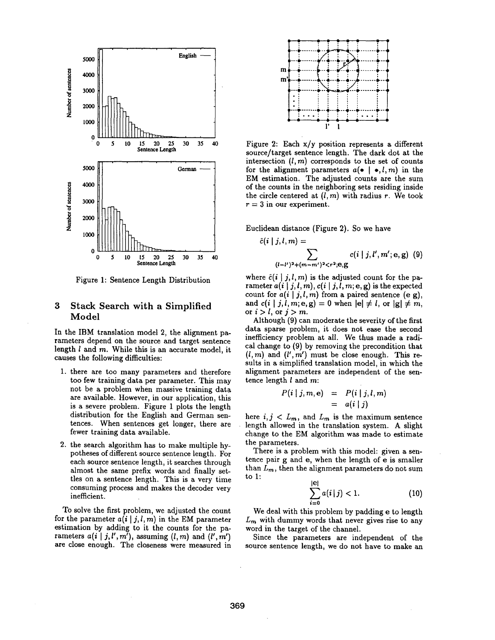

Figure 1: Sentence Length Distribution

# 3 Stack Search with a Simplified Model

In the IBM translation model 2, the alignment parameters depend on the source and target sentence length  $l$  and  $m$ . While this is an accurate model, it causes the following difficulties:

- 1. there are too many parameters and therefore too few training data per parameter. This may not be a problem when massive training data are available. However, in our application, this is a severe problem. Figure 1 plots the length distribution for the English and German sentences. When sentences get longer, there are fewer training data available.
- 2. the search algorithm has to make multiple hypotheses of different source sentence length. For each source sentence length, it searches through almost the same prefix words and finally settles on a sentence length. This is a very time consuming process and makes the decoder very inefficient.

To solve the first problem, we adjusted the count for the parameter  $a(i | j, l, m)$  in the EM parameter estimation by adding to it the counts for the parameters  $a(i | j, l', m')$ , assuming  $(l, m)$  and  $(l', m')$ are close enough. The closeness were measured in



Figure 2: Each x/y position represents a different source/target sentence length. The dark dot at the intersection  $(l, m)$  corresponds to the set of counts for the alignment parameters  $a(\bullet | \bullet, l, m)$  in the EM estimation. The adjusted counts are the sum of the counts in the neighboring sets residing inside the circle centered at  $(l, m)$  with radius r. We took  $r = 3$  in our experiment.

Euclidean distance (Figure 2). So we have

$$
\hat{c}(i | j, l, m) = \sum_{(l-l')^2 + (m-m')^2 < r^2; e, g} c(i | j, l', m'; e, g) \quad (9)
$$

where  $\hat{c}(i \mid j, l, m)$  is the adjusted count for the parameter  $a(i | j, l, m)$ ,  $c(i | j, l, m; e, g)$  is the expected count for  $a(i | j, l, m)$  from a paired sentence (e g), and  $c(i | j, l, m; e, g) = 0$  when  $|e| \neq l$ , or  $|g| \neq m$ , or  $i > l$ , or  $j > m$ .

Although (9) can moderate the severity of the first data sparse problem, it does not ease the second inefficiency problem at all. We thus made a radical change to (9) by removing the precondition that  $(l, m)$  and  $(l', m')$  must be close enough. This results in a simplified translation model, in which the alignment parameters are independent of the sentence length  $l$  and  $m$ :

$$
P(i | j, m, e) = P(i | j, l, m)
$$
  
=  $a(i | j)$ 

here  $i, j < L_m$ , and  $L_m$  is the maximum sentence length allowed in the translation system. A slight change to the EM algorithm was made to estimate the parameters.

There is a problem with this model: given a sentence pair g and e, when the length of e is smaller than *Lm,* then the alignment parameters do not sum to 1: lel

$$
\sum_{i=0}^{|e|} a(i|j) < 1. \tag{10}
$$

We deal with this problem by padding e to length  $L_m$  with dummy words that never gives rise to any word in the target of the channel.

Since the parameters are independent of the source sentence length, we do not have to make an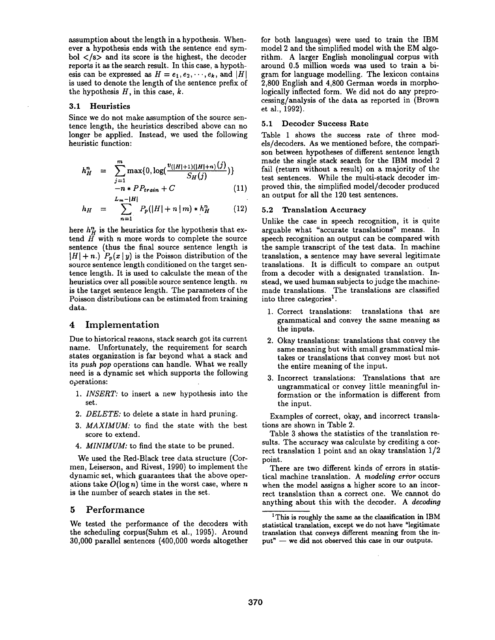assumption about the length in a hypothesis. Whenever a hypothesis ends with the sentence end symbol  $\langle s \rangle$  and its score is the highest, the decoder reports it as the search result. In this case, a hypothesis can be expressed as  $H = e_1, e_2, \dots, e_k$ , and |H| is used to denote the length of the sentence prefix of the hypothesis  $H$ , in this case,  $k$ .

## 3.1 Heuristics

Since we do not make assumption of the source sentence length, the heuristics described above can no longer be applied. Instead, we used the following heuristic function:

$$
h_H^n = \sum_{j=1}^m \max\{0, \log(\frac{v(|H|+1)(|H|+n)(j)}{S_H(j)})\} -n * PP_{train} + C
$$
 (11)

$$
h_H = \sum_{n=1}^{2m-|H|} P_p(|H|+n|m) * h_H^n \qquad (12)
$$

here  $h^{\textit{n}}_H$  is the heuristics for the hypothesis that extend  $\tilde{H}$  with n more words to complete the source sentence (thus the final source sentence length is  $|H| + n$ .)  $P_p(x|y)$  is the Poisson distribution of the source sentence length conditioned on the target sentence length. It is used to calculate the mean of the heuristics over all possible source sentence length,  $m$ is the target sentence length. The parameters of the Poisson distributions can be estimated from training data.

# 4 Implementation

Due to historical reasons, stack search got its current name. Unfortunately, the requirement for search states organization is far beyond what a stack and its *push pop* operations can handle. What we really need is a dynamic set which supports the following operations:

- *1. INSERT:* to insert a new hypothesis into the set.
- *2. DELETE:* to delete a state in hard pruning.
- *3. MAXIMUM:* to find the state with the best score to extend.
- *4. MINIMUM:* to find the state to be pruned.

We used the Red-Black tree data structure (Cormen, Leiserson, and Rivest, 1990) to implement the dynamic set, which guarantees that the above operations take  $O(\log n)$  time in the worst case, where n is the number of search states in the set.

## 5 Performance

We tested the performance of the decoders with the scheduling corpus(Suhm et al., 1995). Around 30,000 parallel sentences (400,000 words altogether for both languages) were used to train the IBM model 2 and the simplified model with the EM algorithm. A larger English monolingual corpus with around 0.5 million words was used to train a bigram for language modelling. The lexicon contains 2,800 English and 4,800 German words in morphologically inflected form. We did not do any preprocessing/analysis of the data as reported in (Brown et al., 1992).

### 5.1 Decoder Success Rate

Table 1 shows the success rate of three models/decoders. As we mentioned before, the comparison between hypotheses of different sentence length made the single stack search for the IBM model 2 fail (return without a result) on a majority of the test sentences. While the multi-stack decoder improved this, the simplified model/decoder produced an output for all the 120 test sentences.

### 5.2 Translation Accuracy

Unlike the case in speech recognition, it is quite arguable what "accurate translations" means. In speech recognition an output can be compared with the sample transcript of the test data. In machine translation, a sentence may have several legitimate translations. It is difficult to compare an output from a decoder with a designated translation. Instead, we used human subjects to judge the machinemade translations. The translations are classified into three categories<sup>1</sup>.

- **1.** Correct translations: translations that are grammatical and convey the same meaning as the inputs.
- 2. Okay translations: translations that convey the same meaning but with small grammatical mistakes or translations that convey most but not the entire meaning of the input.
- **3.** Incorrect translations: Translations that are ungrammatical or convey little meaningful information or the information is different from the input.

Examples of correct, okay, and incorrect translations are shown in Table 2.

Table 3 shows the statistics of the translation results. The accuracy was calculate by crediting a correct translation 1 point and an okay translation 1/2 point.

There are two different kinds of errors in statistical machine translation. A *modeling erivr* occurs when the model assigns a higher score to an incorrect translation than a correct one. We cannot do anything about this with the decoder. A *decoding* 

<sup>&</sup>lt;sup>1</sup>This is roughly the same as the classification in IBM statistical translation, except we do not have "legitimate translation that conveys different meaning from the input" - we did not observed this case in our outputs.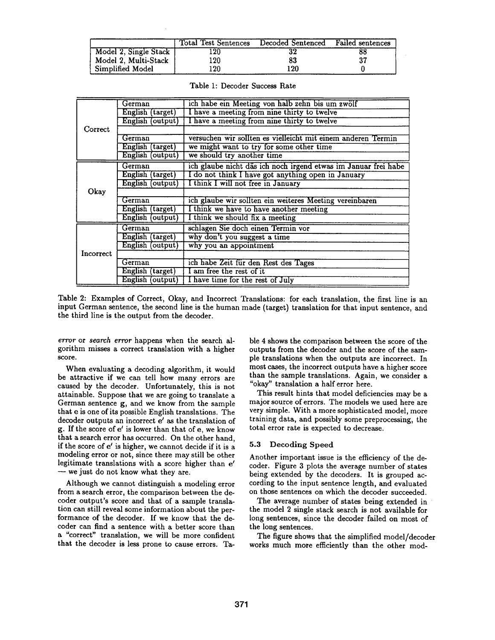|                       | <b>Total Test Sentences</b> | Decoded Sentenced Failed sentences |    |
|-----------------------|-----------------------------|------------------------------------|----|
| Model 2, Single Stack | l 20                        |                                    |    |
| Model 2, Multi-Stack  | 120                         | 83                                 | 27 |
| Simplified Model      | 120                         | l 20                               |    |

|           | German           | ich habe ein Meeting von halb zehn bis um zwölf                |  |
|-----------|------------------|----------------------------------------------------------------|--|
|           | English (target) | I have a meeting from nine thirty to twelve                    |  |
|           | English (output) | I have a meeting from nine thirty to twelve                    |  |
| Correct   |                  |                                                                |  |
|           | German           | versuchen wir sollten es vielleicht mit einem anderen Termin   |  |
|           | English (target) | we might want to try for some other time                       |  |
|           | English (output) | we should try another time                                     |  |
| Okay      | German           | ich glaube nicht däs ich noch irgend etwas im Januar frei habe |  |
|           | English (target) | I do not think I have got anything open in January             |  |
|           | English (output) | I think I will not free in January                             |  |
|           |                  |                                                                |  |
|           | German           | ich glaube wir sollten ein weiteres Meeting vereinbaren        |  |
|           | English (target) | I think we have to have another meeting                        |  |
|           | English (output) | I think we should fix a meeting                                |  |
|           | German           | schlagen Sie doch einen Termin vor                             |  |
| Incorrect | English (target) | why don't you suggest a time                                   |  |
|           | English (output) | why you an appointment                                         |  |
|           |                  |                                                                |  |
|           | German           | ich habe Zeit für den Rest des Tages                           |  |
|           | English (target) | I am free the rest of it                                       |  |
|           | English (output) | I have time for the rest of July                               |  |

|  |  | Table 1: Decoder Success Rate |  |  |
|--|--|-------------------------------|--|--|
|--|--|-------------------------------|--|--|

Table 2: Examples of Correct, Okay, and Incorrect Translations: for each translation, the first line is an input German sentence, the second line is the human made (target) translation for that input sentence, and the third line is the output from the decoder.

*error* or *search* error happens when the search algorithm misses a correct translation with a higher score.

When evaluating a decoding algorithm, it would be attractive if we can tell how many errors are caused by the decoder. Unfortunately, this is not attainable. Suppose that we are going to translate a German sentence g, and we know from the sample that e is one of its possible English translations. The decoder outputs an incorrect e' as the translation of g. If the score of e' is lower than that of e, we know that a search error has occurred. On the other hand, if the score of e' is higher, we cannot decide if it is a modeling error or not, since there may still be other legitimate translations with a score higher than e' - we just do not know what they are.

Although we cannot distinguish a modeling error from a search error, the comparison between the decoder output's score and that of a sample translation can still reveal some information about the performance of the decoder. If we know that the decoder can find a sentence with a better score than a "correct" translation, we will be more confident that the decoder is less prone to cause errors. Table 4 shows the comparison between the score of the outputs from the decoder and the score of the sample translations when the outputs are incorrect. In most cases, the incorrect outputs have a higher score than the sample translations. Again, we consider a "okay" translation a half error here.

This result hints that model deficiencies may be a major source of errors. The models we used here are very simple. With a more sophisticated model, more training data, and possibly some preprocessing, the total error rate is expected to decrease.

### 5.3 Decoding Speed

Another important issue is the efficiency of the decoder. Figure 3 plots the average number of states being extended by the decoders. It is grouped according to the input sentence length, and evaluated on those sentences on which the decoder succeeded.

The average number of states being extended in the model 2 single stack search is not available for long sentences, since the decoder failed on most of the long sentences.

The figure shows that the simplified model/decoder works much more efficiently than the other mod-